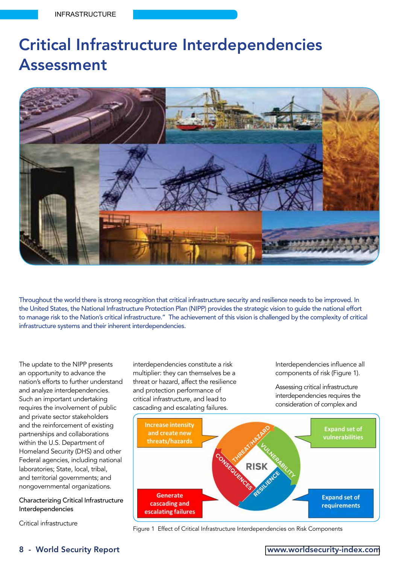# Critical Infrastructure Interdependencies Assessment



Throughout the world there is strong recognition that critical infrastructure security and resilience needs to be improved. In the United States, the National Infrastructure Protection Plan (NIPP) provides the strategic vision to guide the national effort to manage risk to the Nation's critical infrastructure." The achievement of this vision is challenged by the complexity of critical infrastructure systems and their inherent interdependencies.

The update to the NIPP presents an opportunity to advance the nation's efforts to further understand and analyze interdependencies. Such an important undertaking requires the involvement of public and private sector stakeholders and the reinforcement of existing partnerships and collaborations within the U.S. Department of Homeland Security (DHS) and other Federal agencies, including national laboratories; State, local, tribal, and territorial governments; and nongovernmental organizations.

# Characterizing Critical Infrastructure Interdependencies

Critical infrastructure

interdependencies constitute a risk multiplier: they can themselves be a threat or hazard, affect the resilience and protection performance of critical infrastructure, and lead to cascading and escalating failures.

Interdependencies influence all components of risk (Figure 1).

Assessing critical infrastructure interdependencies requires the consideration of complex and



Figure 1 Effect of Critical Infrastructure Interdependencies on Risk Components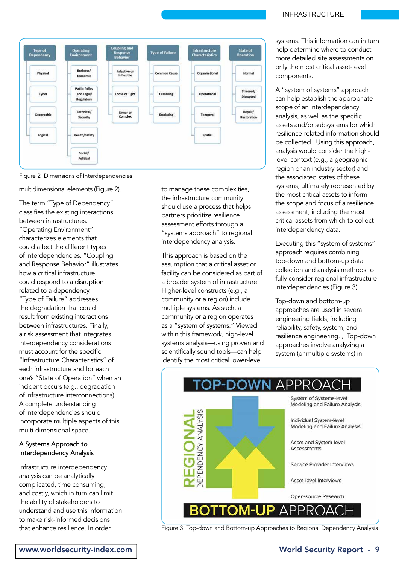



multidimensional elements (Figure 2).

The term "Type of Dependency" classifies the existing interactions between infrastructures. "Operating Environment" characterizes elements that could affect the different types of interdependencies. "Coupling and Response Behavior" illustrates how a critical infrastructure could respond to a disruption related to a dependency. "Type of Failure" addresses the degradation that could result from existing interactions between infrastructures. Finally, a risk assessment that integrates interdependency considerations must account for the specific "Infrastructure Characteristics" of each infrastructure and for each one's "State of Operation" when an incident occurs (e.g., degradation of infrastructure interconnections). A complete understanding of interdependencies should incorporate multiple aspects of this multi-dimensional space.

# A Systems Approach to Interdependency Analysis

Infrastructure interdependency analysis can be analytically complicated, time consuming, and costly, which in turn can limit the ability of stakeholders to understand and use this information to make risk-informed decisions that enhance resilience. In order

to manage these complexities, the infrastructure community should use a process that helps partners prioritize resilience assessment efforts through a "systems approach" to regional interdependency analysis.

This approach is based on the assumption that a critical asset or facility can be considered as part of a broader system of infrastructure. Higher-level constructs (e.g., a community or a region) include multiple systems. As such, a community or a region operates as a "system of systems." Viewed within this framework, high-level systems analysis—using proven and scientifically sound tools—can help identify the most critical lower-level

#### INFRASTRUCTURE

systems. This information can in turn help determine where to conduct more detailed site assessments on only the most critical asset-level components.

A "system of systems" approach can help establish the appropriate scope of an interdependency analysis, as well as the specific assets and/or subsystems for which resilience-related information should be collected. Using this approach, analysis would consider the highlevel context (e.g., a geographic region or an industry sector) and the associated states of these systems, ultimately represented by the most critical assets to inform the scope and focus of a resilience assessment, including the most critical assets from which to collect interdependency data.

Executing this "system of systems" approach requires combining top-down and bottom-up data collection and analysis methods to fully consider regional infrastructure interdependencies (Figure 3).

Top-down and bottom-up approaches are used in several engineering fields, including reliability, safety, system, and resilience engineering. , Top-down approaches involve analyzing a system (or multiple systems) in



Figure 3 Top-down and Bottom-up Approaches to Regional Dependency Analysis